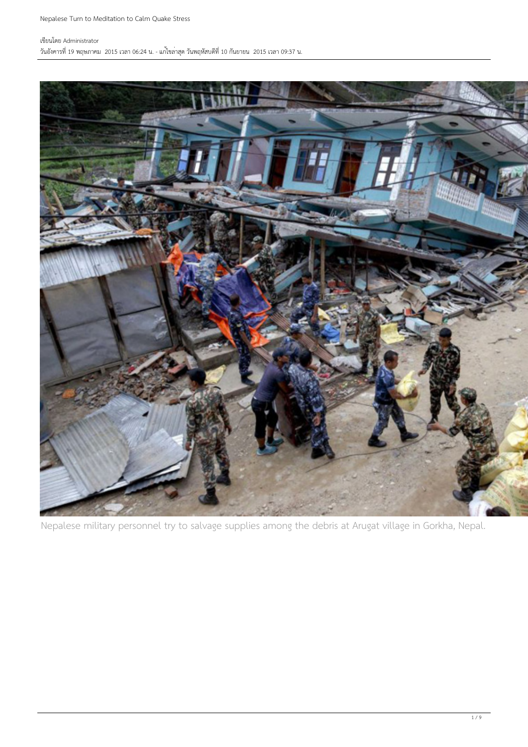### เขียนโดย Administrator

วันอังคารที่ 19 พฤษภาคม 2015 เวลา 06:24 น. - แก้ไขล่าสุด วันพฤหัสบดีที่ 10 กันยายน 2015 เวลา 09:37 น.



Nepalese military personnel try to salvage supplies among the debris at Arugat village in Gorkha, Nepal.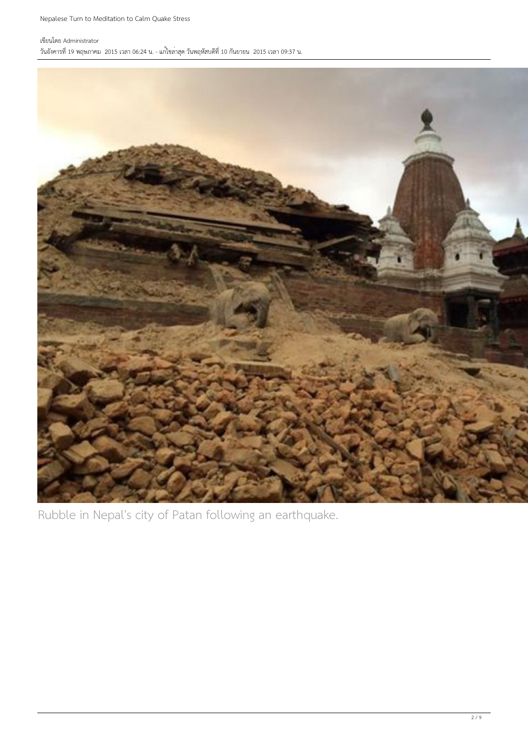### เขียนโดย Administrator

วันอังคารที่ 19 พฤษภาคม 2015 เวลา 06:24 น. - แก้ไขล่าสุด วันพฤหัสบดีที่ 10 กันยายน 2015 เวลา 09:37 น.



Rubble in Nepal's city of Patan following an earthquake.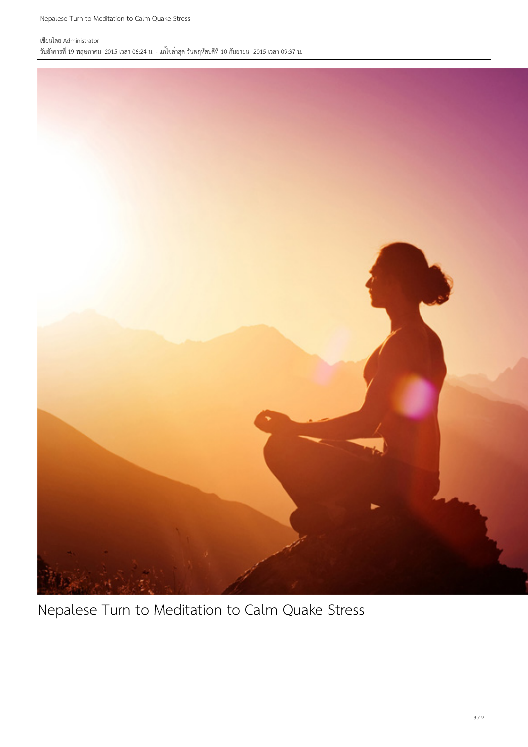### เขียนโดย Administrator วันอังคารที่ 19 พฤษภาคม 2015 เวลา 06:24 น. - แก้ไขล่าสุด วันพฤหัสบดีที่ 10 กันยายน 2015 เวลา 09:37 น.



Nepalese Turn to Meditation to Calm Quake Stress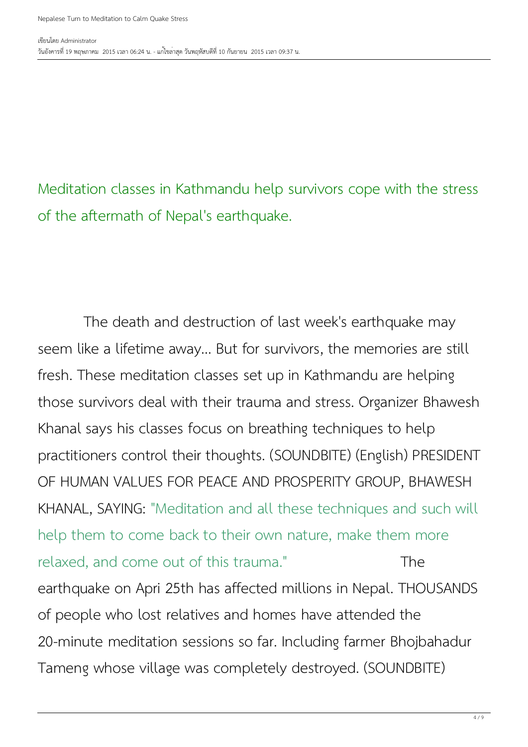Meditation classes in Kathmandu help survivors cope with the stress of the aftermath of Nepal's earthquake.

 The death and destruction of last week's earthquake may seem like a lifetime away... But for survivors, the memories are still fresh. These meditation classes set up in Kathmandu are helping those survivors deal with their trauma and stress. Organizer Bhawesh Khanal says his classes focus on breathing techniques to help practitioners control their thoughts. (SOUNDBITE) (English) PRESIDENT OF HUMAN VALUES FOR PEACE AND PROSPERITY GROUP, BHAWESH KHANAL, SAYING: "Meditation and all these techniques and such will help them to come back to their own nature, make them more relaxed, and come out of this trauma." The earthquake on Apri 25th has affected millions in Nepal. THOUSANDS of people who lost relatives and homes have attended the 20-minute meditation sessions so far. Including farmer Bhojbahadur Tameng whose village was completely destroyed. (SOUNDBITE)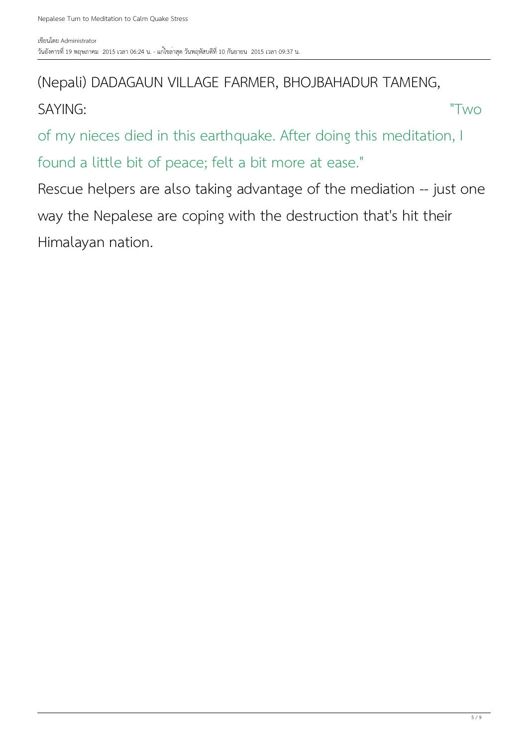## (Nepali) DADAGAUN VILLAGE FARMER, BHOJBAHADUR TAMENG,

SAYING: "Two

of my nieces died in this earthquake. After doing this meditation, I found a little bit of peace; felt a bit more at ease."

Rescue helpers are also taking advantage of the mediation -- just one way the Nepalese are coping with the destruction that's hit their Himalayan nation.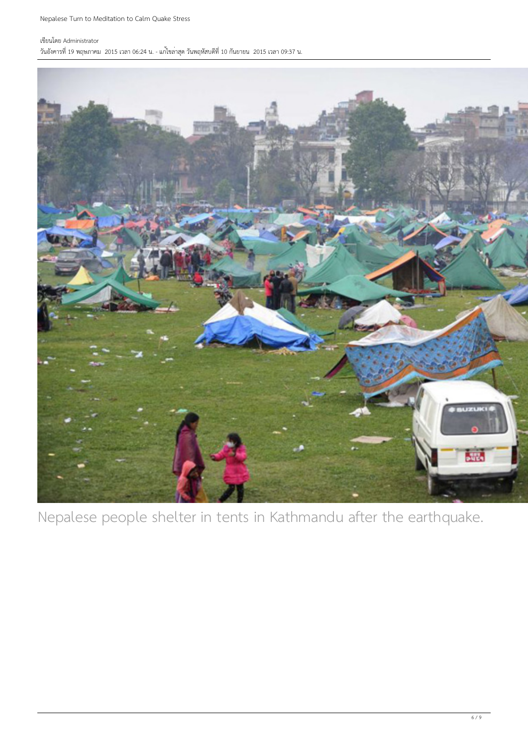Nepalese Turn to Meditation to Calm Quake Stress

### เขียนโดย Administrator

วันอังคารที่ 19 พฤษภาคม 2015 เวลา 06:24 น. - แก้ไขล่าสุด วันพฤหัสบดีที่ 10 กันยายน 2015 เวลา 09:37 น.



Nepalese people shelter in tents in Kathmandu after the earthquake.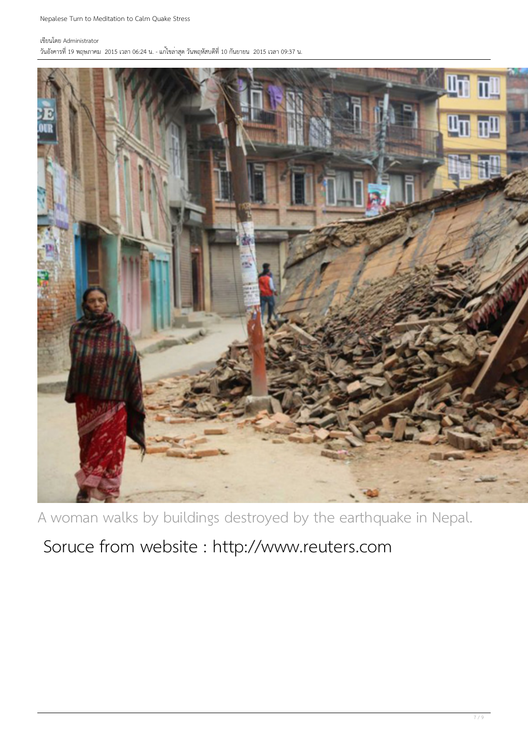#### เขียนโดย Administrator

วันอังคารที่ 19 พฤษภาคม 2015 เวลา 06:24 น. - แก้ไขล่าสุด วันพฤหัสบดีที่ 10 กันยายน 2015 เวลา 09:37 น.



A woman walks by buildings destroyed by the earthquake in Nepal.

Soruce from website : http://www.reuters.com